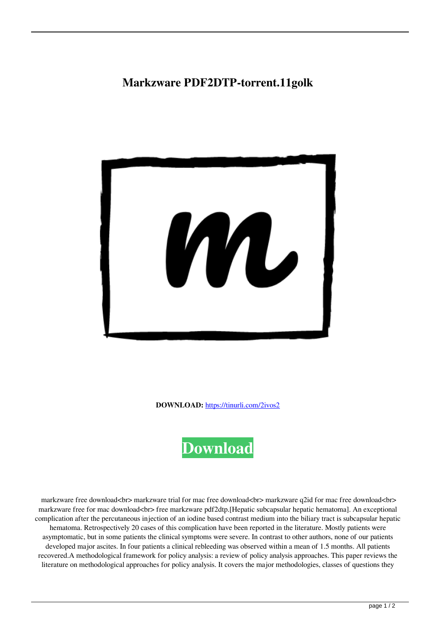## **Markzware PDF2DTP-torrent.11golk**



**DOWNLOAD:** <https://tinurli.com/2ivos2>



 markzware free download<br> markzware trial for mac free download<br> markzware q2id for mac free download<br> markzware free for mac download<br>> $\epsilon$  free markzware pdf2dtp.[Hepatic subcapsular hepatic hematoma]. An exceptional complication after the percutaneous injection of an iodine based contrast medium into the biliary tract is subcapsular hepatic hematoma. Retrospectively 20 cases of this complication have been reported in the literature. Mostly patients were asymptomatic, but in some patients the clinical symptoms were severe. In contrast to other authors, none of our patients developed major ascites. In four patients a clinical rebleeding was observed within a mean of 1.5 months. All patients recovered.A methodological framework for policy analysis: a review of policy analysis approaches. This paper reviews the literature on methodological approaches for policy analysis. It covers the major methodologies, classes of questions they